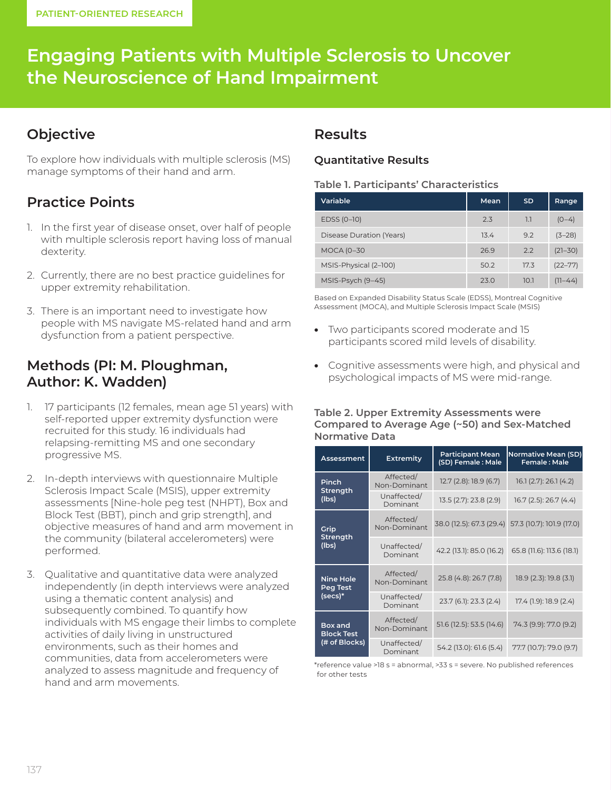# **Engaging Patients with Multiple Sclerosis to Uncover the Neuroscience of Hand Impairment**

### **Objective**

To explore how individuals with multiple sclerosis (MS) manage symptoms of their hand and arm.

# **Practice Points**

- 1. In the first year of disease onset, over half of people with multiple sclerosis report having loss of manual dexterity.
- 2. Currently, there are no best practice guidelines for upper extremity rehabilitation.
- 3. There is an important need to investigate how people with MS navigate MS-related hand and arm dysfunction from a patient perspective.

### **Methods (PI: M. Ploughman, Author: K. Wadden)**

- 1. 17 participants (12 females, mean age 51 years) with self-reported upper extremity dysfunction were recruited for this study. 16 individuals had relapsing-remitting MS and one secondary progressive MS.
- 2. In-depth interviews with questionnaire Multiple Sclerosis Impact Scale (MSIS), upper extremity assessments [Nine-hole peg test (NHPT), Box and Block Test (BBT), pinch and grip strength], and objective measures of hand and arm movement in the community (bilateral accelerometers) were performed.
- 3. Qualitative and quantitative data were analyzed independently (in depth interviews were analyzed using a thematic content analysis) and subsequently combined. To quantify how individuals with MS engage their limbs to complete activities of daily living in unstructured environments, such as their homes and communities, data from accelerometers were analyzed to assess magnitude and frequency of hand and arm movements.

### **Results**

#### **Quantitative Results**

#### **Table 1. Participants' Characteristics**

| Variable                 | Mean | <b>SD</b> | Range       |
|--------------------------|------|-----------|-------------|
| EDSS (0-10)              | 2.3  | 1.1       | $(0-4)$     |
| Disease Duration (Years) | 13.4 | 9.2       | $(3-28)$    |
| <b>MOCA (0-30</b>        | 26.9 | 2.2       | $(21 - 30)$ |
| MSIS-Physical (2-100)    | 50.2 | 17.3      | $(22 - 77)$ |
| MSIS-Psych (9-45)        | 23.0 | 10.1      | (11–44)     |

Based on Expanded Disability Status Scale (EDSS), Montreal Cognitive Assessment (MOCA), and Multiple Sclerosis Impact Scale (MSIS)

- Two participants scored moderate and 15 participants scored mild levels of disability.
- Cognitive assessments were high, and physical and psychological impacts of MS were mid-range.

#### **Table 2. Upper Extremity Assessments were Compared to Average Age (~50) and Sex-Matched Normative Data**

| Assessment                                    | <b>Extremity</b>          | <b>Participant Mean</b><br>(SD) Female: Male | <b>Normative Mean (SD)</b><br>Female: Male         |
|-----------------------------------------------|---------------------------|----------------------------------------------|----------------------------------------------------|
| Pinch<br><b>Strength</b><br>(lbs)             | Affected/<br>Non-Dominant | 12.7 (2.8): 18.9 (6.7)                       | 16.1(2.7): 26.1(4.2)                               |
|                                               | Unaffected/<br>Dominant   | 13.5 (2.7): 23.8 (2.9)                       | 16.7 (2.5): 26.7 (4.4)                             |
| Grip<br><b>Strength</b><br>(lbs)              | Affected/<br>Non-Dominant |                                              | 38.0 (12.5): 67.3 (29.4) 57.3 (10.7): 101.9 (17.0) |
|                                               | Unaffected/<br>Dominant   | 42.2 (13.1): 85.0 (16.2)                     | 65.8 (11.6): 113.6 (18.1)                          |
| <b>Nine Hole</b><br>Peg Test<br>$(secs)*$     | Affected/<br>Non-Dominant | 25.8 (4.8): 26.7 (7.8)                       | 18.9 (2.3): 19.8 (3.1)                             |
|                                               | Unaffected/<br>Dominant   | 23.7 (6.1): 23.3 (2.4)                       | 17.4 (1.9): 18.9 (2.4)                             |
| Box and<br><b>Block Test</b><br>(# of Blocks) | Affected/<br>Non-Dominant | 51.6 (12.5): 53.5 (14.6)                     | 74.3 (9.9): 77.0 (9.2)                             |
|                                               | Unaffected/<br>Dominant   | 54.2 (13.0): 61.6 (5.4)                      | 77.7 (10.7): 79.0 (9.7)                            |

\*reference value >18 s = abnormal, >33 s = severe. No published references for other tests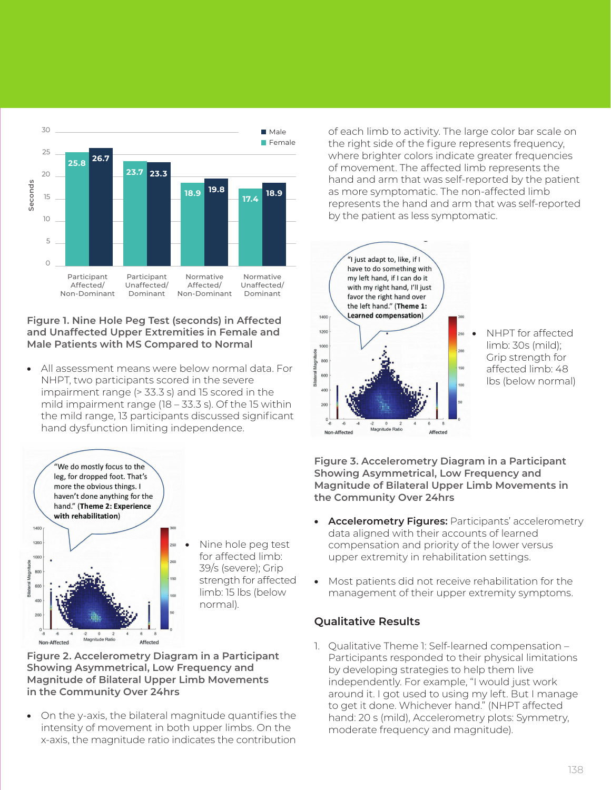

#### **Figure 1. Nine Hole Peg Test (seconds) in Affected and Unaffected Upper Extremities in Female and Male Patients with MS Compared to Normal**

• All assessment means were below normal data. For NHPT, two participants scored in the severe impairment range (> 33.3 s) and 15 scored in the mild impairment range (18 – 33.3 s). Of the 15 within the mild range, 13 participants discussed significant hand dysfunction limiting independence.



• Nine hole peg test for affected limb: 39/s (severe); Grip strength for affected limb: 15 lbs (below normal).

**Figure 2. Accelerometry Diagram in a Participant Showing Asymmetrical, Low Frequency and Magnitude of Bilateral Upper Limb Movements in the Community Over 24hrs**

• On the y-axis, the bilateral magnitude quantifies the intensity of movement in both upper limbs. On the x-axis, the magnitude ratio indicates the contribution

of each limb to activity. The large color bar scale on the right side of the figure represents frequency, where brighter colors indicate greater frequencies of movement. The affected limb represents the hand and arm that was self-reported by the patient as more symptomatic. The non-affected limb represents the hand and arm that was self-reported by the patient as less symptomatic.



**Figure 3. Accelerometry Diagram in a Participant Showing Asymmetrical, Low Frequency and Magnitude of Bilateral Upper Limb Movements in the Community Over 24hrs**

- **Accelerometry Figures:** Participants' accelerometry data aligned with their accounts of learned compensation and priority of the lower versus upper extremity in rehabilitation settings.
- Most patients did not receive rehabilitation for the management of their upper extremity symptoms.

### **Qualitative Results**

1. Qualitative Theme 1: Self-learned compensation – Participants responded to their physical limitations by developing strategies to help them live independently. For example, "I would just work around it. I got used to using my left. But I manage to get it done. Whichever hand." (NHPT affected hand: 20 s (mild), Accelerometry plots: Symmetry, moderate frequency and magnitude).